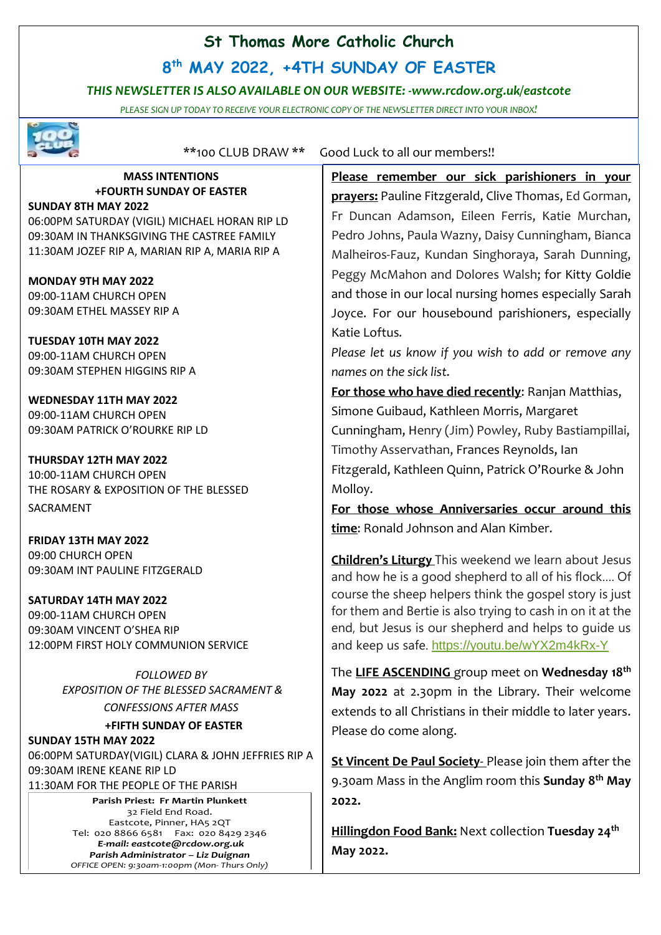## **St Thomas More Catholic Church**

# **8 th MAY 2022, +4TH SUNDAY OF EASTER**

## *THIS NEWSLETTER IS ALSO AVAILABLE ON OUR WEBSITE: -www.rcdow.org.uk/eastcote*

*PLEASE SIGN UP TODAY TO RECEIVE YOUR ELECTRONIC COPY OF THE NEWSLETTER DIRECT INTO YOUR INBOX!*



\*\*100 CLUB DRAW \*\* Good Luck to all our members!!

#### **MASS INTENTIONS +FOURTH SUNDAY OF EASTER SUNDAY 8TH MAY 2022**

06:00PM SATURDAY (VIGIL) MICHAEL HORAN RIP LD 09:30AM IN THANKSGIVING THE CASTREE FAMILY 11:30AM JOZEF RIP A, MARIAN RIP A, MARIA RIP A

**MONDAY 9TH MAY 2022** 09:00-11AM CHURCH OPEN 09:30AM ETHEL MASSEY RIP A

**TUESDAY 10TH MAY 2022** 09:00-11AM CHURCH OPEN 09:30AM STEPHEN HIGGINS RIP A

**WEDNESDAY 11TH MAY 2022** 09:00-11AM CHURCH OPEN 09:30AM PATRICK O'ROURKE RIP LD

**THURSDAY 12TH MAY 2022** 10:00-11AM CHURCH OPEN THE ROSARY & EXPOSITION OF THE BLESSED SACRAMENT

**FRIDAY 13TH MAY 2022** 09:00 CHURCH OPEN 09:30AM INT PAULINE FITZGERALD

**SATURDAY 14TH MAY 2022** 09:00-11AM CHURCH OPEN 09:30AM VINCENT O'SHEA RIP 12:00PM FIRST HOLY COMMUNION SERVICE

> *FOLLOWED BY EXPOSITION OF THE BLESSED SACRAMENT &*

*CONFESSIONS AFTER MASS*

## **+FIFTH SUNDAY OF EASTER**

**SUNDAY 15TH MAY 2022** 06:00PM SATURDAY(VIGIL) CLARA & JOHN JEFFRIES RIP A 09:30AM IRENE KEANE RIP LD 11:30AM FOR THE PEOPLE OF THE PARISH

> **Parish Priest: Fr Martin Plunkett**  32 Field End Road. Eastcote, Pinner, HA5 2QT Tel: 020 8866 6581 Fax: 020 8429 2346 *E-mail: eastcote@rcdow.org.uk Parish Administrator – Liz Duignan OFFICE OPEN: 9:30am-1:00pm (Mon- Thurs Only)*

**Please remember our sick parishioners in your prayers:** Pauline Fitzgerald, Clive Thomas, Ed Gorman, Fr Duncan Adamson, Eileen Ferris, Katie Murchan, Pedro Johns, Paula Wazny, Daisy Cunningham, Bianca Malheiros-Fauz, Kundan Singhoraya, Sarah Dunning, Peggy McMahon and Dolores Walsh; for Kitty Goldie and those in our local nursing homes especially Sarah Joyce. For our housebound parishioners, especially Katie Loftus*.*

*Please let us know if you wish to add or remove any names on the sick list.*

**For those who have died recently**: Ranjan Matthias, Simone Guibaud, Kathleen Morris, Margaret Cunningham, Henry (Jim) Powley, Ruby Bastiampillai, Timothy Asservathan, Frances Reynolds, Ian Fitzgerald, Kathleen Quinn, Patrick O'Rourke & John Molloy.

**For those whose Anniversaries occur around this time**: Ronald Johnson and Alan Kimber.

**Children's Liturgy** This weekend we learn about Jesus and how he is a good shepherd to all of his flock…. Of course the sheep helpers think the gospel story is just for them and Bertie is also trying to cash in on it at the end, but Jesus is our shepherd and helps to guide us and keep us safe. <https://youtu.be/wYX2m4kRx-Y>

The **LIFE ASCENDING** group meet on **Wednesday 18th May 2022** at 2.30pm in the Library. Their welcome extends to all Christians in their middle to later years. Please do come along.

**St Vincent De Paul Society**- Please join them after the 9.30am Mass in the Anglim room this **Sunday 8 th May 2022.**

**Hillingdon Food Bank:** Next collection **Tuesday 24th May 2022.**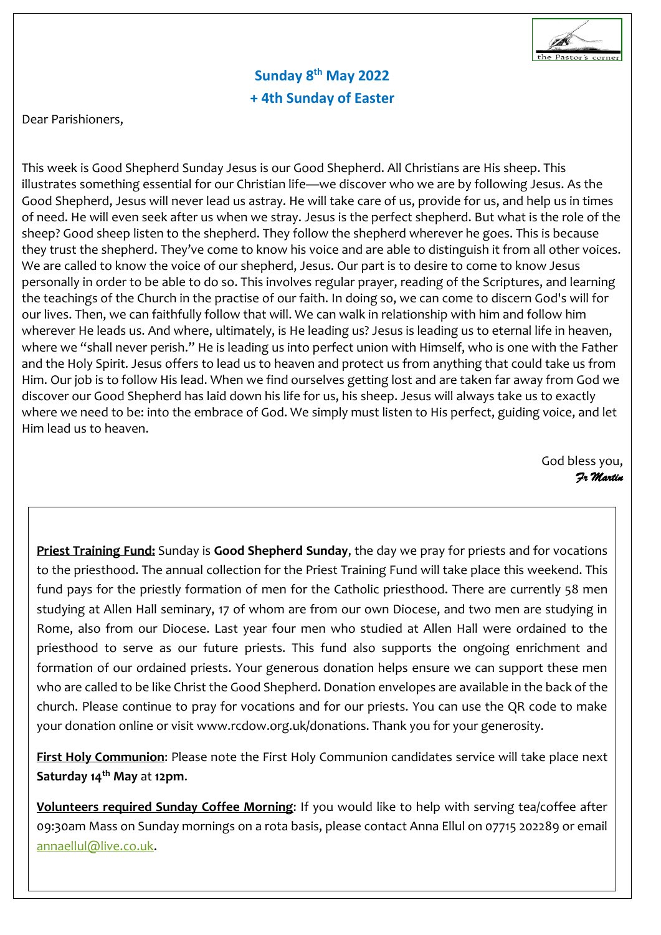

# **Sunday 8 th May 2022 + 4th Sunday of Easter**

Dear Parishioners,

This week is Good Shepherd Sunday Jesus is our Good Shepherd. All Christians are His sheep. This illustrates something essential for our Christian life—we discover who we are by following Jesus. As the Good Shepherd, Jesus will never lead us astray. He will take care of us, provide for us, and help us in times of need. He will even seek after us when we stray. Jesus is the perfect shepherd. But what is the role of the sheep? Good sheep listen to the shepherd. They follow the shepherd wherever he goes. This is because they trust the shepherd. They've come to know his voice and are able to distinguish it from all other voices. We are called to know the voice of our shepherd, Jesus. Our part is to desire to come to know Jesus personally in order to be able to do so. This involves regular prayer, reading of the Scriptures, and learning the teachings of the Church in the practise of our faith. In doing so, we can come to discern God's will for our lives. Then, we can faithfully follow that will. We can walk in relationship with him and follow him wherever He leads us. And where, ultimately, is He leading us? Jesus is leading us to eternal life in heaven, where we "shall never perish." He is leading us into perfect union with Himself, who is one with the Father and the Holy Spirit. Jesus offers to lead us to heaven and protect us from anything that could take us from Him. Our job is to follow His lead. When we find ourselves getting lost and are taken far away from God we discover our Good Shepherd has laid down his life for us, his sheep. Jesus will always take us to exactly where we need to be: into the embrace of God. We simply must listen to His perfect, guiding voice, and let Him lead us to heaven.

> God bless you, *Fr Martin*

**Priest Training Fund:** Sunday is **Good Shepherd Sunday**, the day we pray for priests and for vocations to the priesthood. The annual collection for the Priest Training Fund will take place this weekend. This fund pays for the priestly formation of men for the Catholic priesthood. There are currently 58 men studying at Allen Hall seminary, 17 of whom are from our own Diocese, and two men are studying in Rome, also from our Diocese. Last year four men who studied at Allen Hall were ordained to the priesthood to serve as our future priests. This fund also supports the ongoing enrichment and formation of our ordained priests. Your generous donation helps ensure we can support these men who are called to be like Christ the Good Shepherd. Donation envelopes are available in the back of the church. Please continue to pray for vocations and for our priests. You can use the QR code to make your donation online or visit www.rcdow.org.uk/donations. Thank you for your generosity.

**First Holy Communion**: Please note the First Holy Communion candidates service will take place next **Saturday 14th May** at **12pm**.

**Volunteers required Sunday Coffee Morning**: If you would like to help with serving tea/coffee after 09:30am Mass on Sunday mornings on a rota basis, please contact Anna Ellul on 07715 202289 or email [annaellul@live.co.uk.](mailto:annaellul@live.co.uk)